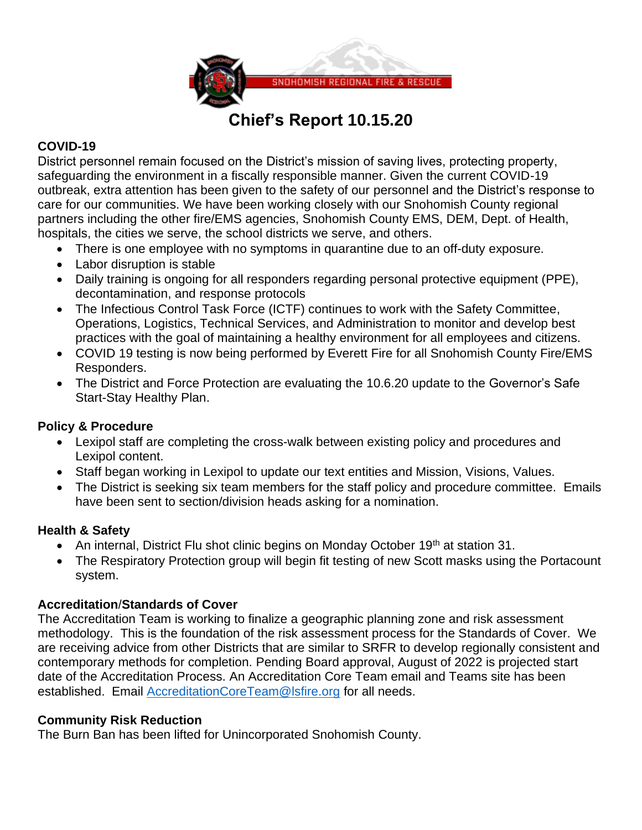

# **Chief's Report 10.15.20**

# **COVID-19**

District personnel remain focused on the District's mission of saving lives, protecting property, safeguarding the environment in a fiscally responsible manner. Given the current COVID-19 outbreak, extra attention has been given to the safety of our personnel and the District's response to care for our communities. We have been working closely with our Snohomish County regional partners including the other fire/EMS agencies, Snohomish County EMS, DEM, Dept. of Health, hospitals, the cities we serve, the school districts we serve, and others.

- There is one employee with no symptoms in quarantine due to an off-duty exposure.
- Labor disruption is stable
- Daily training is ongoing for all responders regarding personal protective equipment (PPE), decontamination, and response protocols
- The Infectious Control Task Force (ICTF) continues to work with the Safety Committee, Operations, Logistics, Technical Services, and Administration to monitor and develop best practices with the goal of maintaining a healthy environment for all employees and citizens.
- COVID 19 testing is now being performed by Everett Fire for all Snohomish County Fire/EMS Responders.
- The District and Force Protection are evaluating the 10.6.20 update to the Governor's Safe Start-Stay Healthy Plan.

# **Policy & Procedure**

- Lexipol staff are completing the cross-walk between existing policy and procedures and Lexipol content.
- Staff began working in Lexipol to update our text entities and Mission, Visions, Values.
- The District is seeking six team members for the staff policy and procedure committee. Emails have been sent to section/division heads asking for a nomination.

# **Health & Safety**

- An internal, District Flu shot clinic begins on Monday October 19<sup>th</sup> at station 31.
- The Respiratory Protection group will begin fit testing of new Scott masks using the Portacount system.

# **Accreditation**/**Standards of Cover**

The Accreditation Team is working to finalize a geographic planning zone and risk assessment methodology. This is the foundation of the risk assessment process for the Standards of Cover. We are receiving advice from other Districts that are similar to SRFR to develop regionally consistent and contemporary methods for completion. Pending Board approval, August of 2022 is projected start date of the Accreditation Process. An Accreditation Core Team email and Teams site has been established. Email **AccreditationCoreTeam@Isfire.org** for all needs.

# **Community Risk Reduction**

The Burn Ban has been lifted for Unincorporated Snohomish County.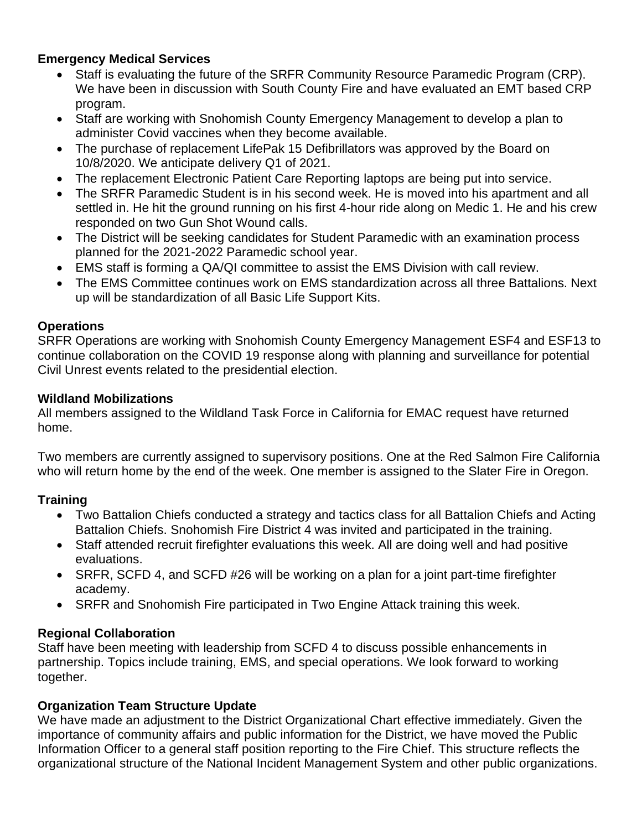# **Emergency Medical Services**

- Staff is evaluating the future of the SRFR Community Resource Paramedic Program (CRP). We have been in discussion with South County Fire and have evaluated an EMT based CRP program.
- Staff are working with Snohomish County Emergency Management to develop a plan to administer Covid vaccines when they become available.
- The purchase of replacement LifePak 15 Defibrillators was approved by the Board on 10/8/2020. We anticipate delivery Q1 of 2021.
- The replacement Electronic Patient Care Reporting laptops are being put into service.
- The SRFR Paramedic Student is in his second week. He is moved into his apartment and all settled in. He hit the ground running on his first 4-hour ride along on Medic 1. He and his crew responded on two Gun Shot Wound calls.
- The District will be seeking candidates for Student Paramedic with an examination process planned for the 2021-2022 Paramedic school year.
- EMS staff is forming a QA/QI committee to assist the EMS Division with call review.
- The EMS Committee continues work on EMS standardization across all three Battalions. Next up will be standardization of all Basic Life Support Kits.

## **Operations**

SRFR Operations are working with Snohomish County Emergency Management ESF4 and ESF13 to continue collaboration on the COVID 19 response along with planning and surveillance for potential Civil Unrest events related to the presidential election.

#### **Wildland Mobilizations**

All members assigned to the Wildland Task Force in California for EMAC request have returned home.

Two members are currently assigned to supervisory positions. One at the Red Salmon Fire California who will return home by the end of the week. One member is assigned to the Slater Fire in Oregon.

# **Training**

- Two Battalion Chiefs conducted a strategy and tactics class for all Battalion Chiefs and Acting Battalion Chiefs. Snohomish Fire District 4 was invited and participated in the training.
- Staff attended recruit firefighter evaluations this week. All are doing well and had positive evaluations.
- SRFR, SCFD 4, and SCFD #26 will be working on a plan for a joint part-time firefighter academy.
- SRFR and Snohomish Fire participated in Two Engine Attack training this week.

# **Regional Collaboration**

Staff have been meeting with leadership from SCFD 4 to discuss possible enhancements in partnership. Topics include training, EMS, and special operations. We look forward to working together.

# **Organization Team Structure Update**

We have made an adjustment to the District Organizational Chart effective immediately. Given the importance of community affairs and public information for the District, we have moved the Public Information Officer to a general staff position reporting to the Fire Chief. This structure reflects the organizational structure of the National Incident Management System and other public organizations.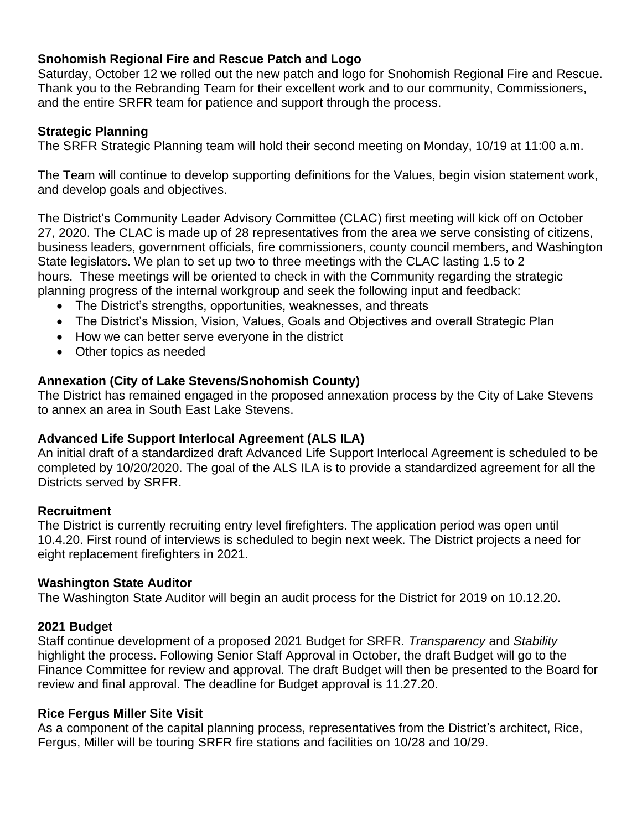# **Snohomish Regional Fire and Rescue Patch and Logo**

Saturday, October 12 we rolled out the new patch and logo for Snohomish Regional Fire and Rescue. Thank you to the Rebranding Team for their excellent work and to our community, Commissioners, and the entire SRFR team for patience and support through the process.

## **Strategic Planning**

The SRFR Strategic Planning team will hold their second meeting on Monday, 10/19 at 11:00 a.m.

The Team will continue to develop supporting definitions for the Values, begin vision statement work, and develop goals and objectives.

The District's Community Leader Advisory Committee (CLAC) first meeting will kick off on October 27, 2020. The CLAC is made up of 28 representatives from the area we serve consisting of citizens, business leaders, government officials, fire commissioners, county council members, and Washington State legislators. We plan to set up two to three meetings with the CLAC lasting 1.5 to 2 hours. These meetings will be oriented to check in with the Community regarding the strategic planning progress of the internal workgroup and seek the following input and feedback:

- The District's strengths, opportunities, weaknesses, and threats
- The District's Mission, Vision, Values, Goals and Objectives and overall Strategic Plan
- How we can better serve everyone in the district
- Other topics as needed

## **Annexation (City of Lake Stevens/Snohomish County)**

The District has remained engaged in the proposed annexation process by the City of Lake Stevens to annex an area in South East Lake Stevens.

#### **Advanced Life Support Interlocal Agreement (ALS ILA)**

An initial draft of a standardized draft Advanced Life Support Interlocal Agreement is scheduled to be completed by 10/20/2020. The goal of the ALS ILA is to provide a standardized agreement for all the Districts served by SRFR.

#### **Recruitment**

The District is currently recruiting entry level firefighters. The application period was open until 10.4.20. First round of interviews is scheduled to begin next week. The District projects a need for eight replacement firefighters in 2021.

#### **Washington State Auditor**

The Washington State Auditor will begin an audit process for the District for 2019 on 10.12.20.

#### **2021 Budget**

Staff continue development of a proposed 2021 Budget for SRFR. *Transparency* and *Stability* highlight the process. Following Senior Staff Approval in October, the draft Budget will go to the Finance Committee for review and approval. The draft Budget will then be presented to the Board for review and final approval. The deadline for Budget approval is 11.27.20.

#### **Rice Fergus Miller Site Visit**

As a component of the capital planning process, representatives from the District's architect, Rice, Fergus, Miller will be touring SRFR fire stations and facilities on 10/28 and 10/29.